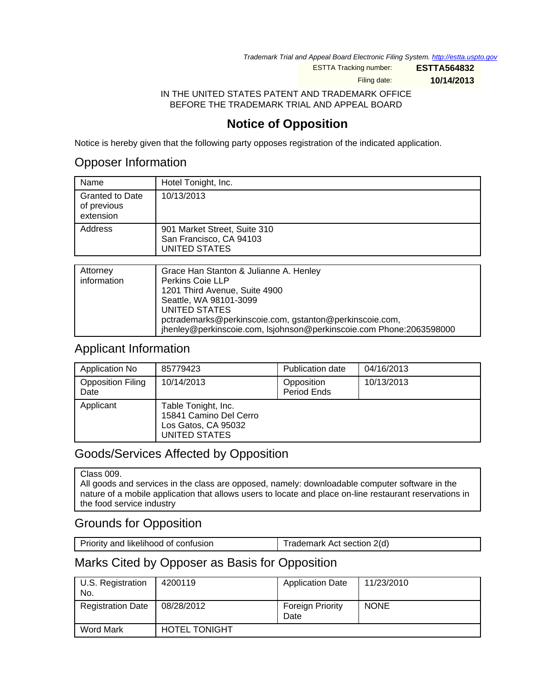Trademark Trial and Appeal Board Electronic Filing System. <http://estta.uspto.gov>

ESTTA Tracking number: **ESTTA564832**

Filing date: **10/14/2013**

IN THE UNITED STATES PATENT AND TRADEMARK OFFICE BEFORE THE TRADEMARK TRIAL AND APPEAL BOARD

# **Notice of Opposition**

Notice is hereby given that the following party opposes registration of the indicated application.

## Opposer Information

| Name                                               | Hotel Tonight, Inc.                                                             |
|----------------------------------------------------|---------------------------------------------------------------------------------|
| <b>Granted to Date</b><br>of previous<br>extension | 10/13/2013                                                                      |
| Address                                            | 901 Market Street, Suite 310<br>San Francisco, CA 94103<br><b>UNITED STATES</b> |
|                                                    |                                                                                 |
| Attorney<br>information                            | Grace Han Stanton & Julianne A. Henley<br>Perkins Coie LLP                      |

| information | Perkins Coie LLP                                                    |
|-------------|---------------------------------------------------------------------|
|             | 1201 Third Avenue, Suite 4900                                       |
|             | Seattle, WA 98101-3099                                              |
|             | UNITED STATES                                                       |
|             | pctrademarks@perkinscoie.com, gstanton@perkinscoie.com,             |
|             | jhenley@perkinscoie.com, Isjohnson@perkinscoie.com Phone:2063598000 |

#### Applicant Information

| Application No                   | 85779423                                                                              | <b>Publication date</b>   | 04/16/2013 |
|----------------------------------|---------------------------------------------------------------------------------------|---------------------------|------------|
| <b>Opposition Filing</b><br>Date | 10/14/2013                                                                            | Opposition<br>Period Ends | 10/13/2013 |
| Applicant                        | Table Tonight, Inc.<br>15841 Camino Del Cerro<br>Los Gatos, CA 95032<br>UNITED STATES |                           |            |

## Goods/Services Affected by Opposition

#### Class 009.

All goods and services in the class are opposed, namely: downloadable computer software in the nature of a mobile application that allows users to locate and place on-line restaurant reservations in the food service industry

#### Grounds for Opposition

| Priority and likelihood of confusion | Trademark Act section 2(d) |
|--------------------------------------|----------------------------|
|--------------------------------------|----------------------------|

## Marks Cited by Opposer as Basis for Opposition

| U.S. Registration<br>No. | 4200119              | <b>Application Date</b>         | 11/23/2010  |
|--------------------------|----------------------|---------------------------------|-------------|
| <b>Registration Date</b> | 08/28/2012           | <b>Foreign Priority</b><br>Date | <b>NONE</b> |
| <b>Word Mark</b>         | <b>HOTEL TONIGHT</b> |                                 |             |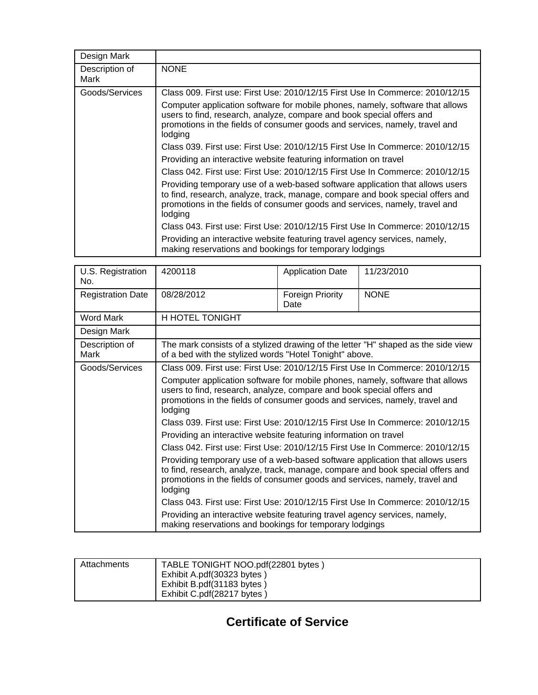| Design Mark            |                                                                                                                                                                                                                                                           |
|------------------------|-----------------------------------------------------------------------------------------------------------------------------------------------------------------------------------------------------------------------------------------------------------|
| Description of<br>Mark | <b>NONE</b>                                                                                                                                                                                                                                               |
| Goods/Services         | Class 009. First use: First Use: 2010/12/15 First Use In Commerce: 2010/12/15                                                                                                                                                                             |
|                        | Computer application software for mobile phones, namely, software that allows<br>users to find, research, analyze, compare and book special offers and<br>promotions in the fields of consumer goods and services, namely, travel and<br>lodging          |
|                        | Class 039, First use: First Use: 2010/12/15 First Use In Commerce: 2010/12/15                                                                                                                                                                             |
|                        | Providing an interactive website featuring information on travel                                                                                                                                                                                          |
|                        | Class 042. First use: First Use: 2010/12/15 First Use In Commerce: 2010/12/15                                                                                                                                                                             |
|                        | Providing temporary use of a web-based software application that allows users<br>to find, research, analyze, track, manage, compare and book special offers and<br>promotions in the fields of consumer goods and services, namely, travel and<br>lodging |
|                        | Class 043. First use: First Use: 2010/12/15 First Use In Commerce: 2010/12/15                                                                                                                                                                             |
|                        | Providing an interactive website featuring travel agency services, namely,<br>making reservations and bookings for temporary lodgings                                                                                                                     |

| U.S. Registration<br>No. | 4200118                                                                                                                                                                                                                                                   | <b>Application Date</b>  | 11/23/2010                                                                        |
|--------------------------|-----------------------------------------------------------------------------------------------------------------------------------------------------------------------------------------------------------------------------------------------------------|--------------------------|-----------------------------------------------------------------------------------|
| <b>Registration Date</b> | 08/28/2012                                                                                                                                                                                                                                                | Foreign Priority<br>Date | <b>NONE</b>                                                                       |
| <b>Word Mark</b>         | H HOTEL TONIGHT                                                                                                                                                                                                                                           |                          |                                                                                   |
| Design Mark              |                                                                                                                                                                                                                                                           |                          |                                                                                   |
| Description of<br>Mark   | of a bed with the stylized words "Hotel Tonight" above.                                                                                                                                                                                                   |                          | The mark consists of a stylized drawing of the letter "H" shaped as the side view |
| Goods/Services           | Class 009, First use: First Use: 2010/12/15 First Use In Commerce: 2010/12/15                                                                                                                                                                             |                          |                                                                                   |
|                          | Computer application software for mobile phones, namely, software that allows<br>users to find, research, analyze, compare and book special offers and<br>promotions in the fields of consumer goods and services, namely, travel and<br>lodging          |                          |                                                                                   |
|                          | Class 039. First use: First Use: 2010/12/15 First Use In Commerce: 2010/12/15                                                                                                                                                                             |                          |                                                                                   |
|                          | Providing an interactive website featuring information on travel                                                                                                                                                                                          |                          |                                                                                   |
|                          | Class 042, First use: First Use: 2010/12/15 First Use In Commerce: 2010/12/15                                                                                                                                                                             |                          |                                                                                   |
|                          | Providing temporary use of a web-based software application that allows users<br>to find, research, analyze, track, manage, compare and book special offers and<br>promotions in the fields of consumer goods and services, namely, travel and<br>lodging |                          |                                                                                   |
|                          | Class 043. First use: First Use: 2010/12/15 First Use In Commerce: 2010/12/15                                                                                                                                                                             |                          |                                                                                   |
|                          | Providing an interactive website featuring travel agency services, namely,<br>making reservations and bookings for temporary lodgings                                                                                                                     |                          |                                                                                   |

| Attachments | TABLE TONIGHT NOO.pdf(22801 bytes) |
|-------------|------------------------------------|
|             | Exhibit A.pdf(30323 bytes)         |
|             | Exhibit B.pdf(31183 bytes)         |
|             | Exhibit C.pdf(28217 bytes)         |

**Certificate of Service**